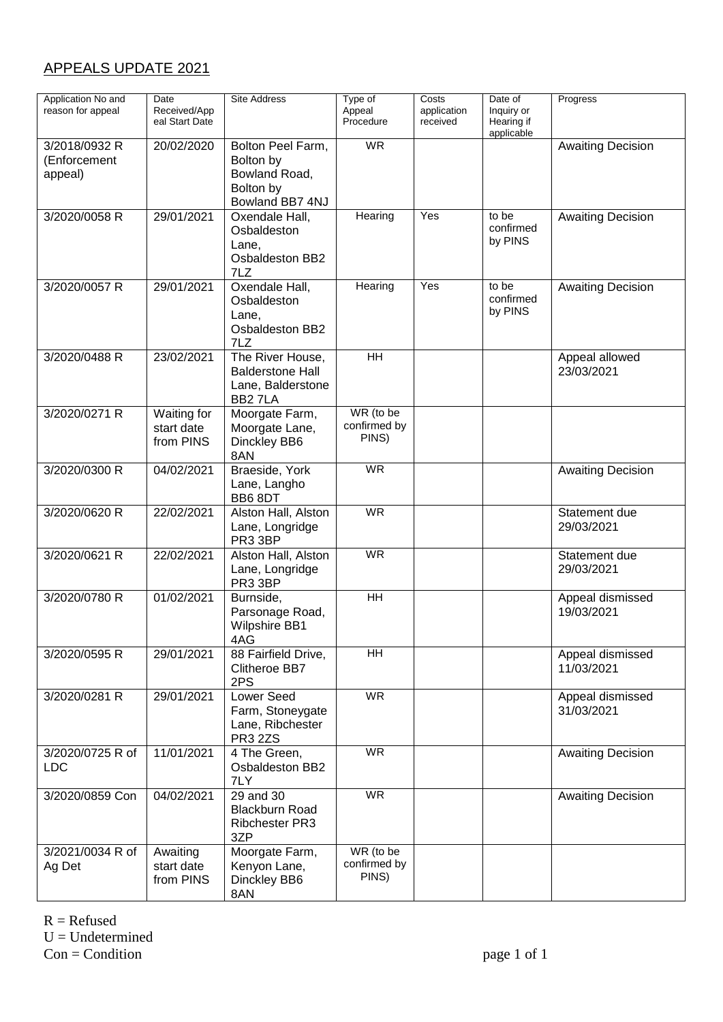## APPEALS UPDATE 2021

| Application No and<br>reason for appeal  | Date<br>Received/App<br>eal Start Date | <b>Site Address</b>                                                             | Type of<br>Appeal<br>Procedure     | Costs<br>application<br>received | Date of<br>Inquiry or<br>Hearing if<br>applicable | Progress                       |
|------------------------------------------|----------------------------------------|---------------------------------------------------------------------------------|------------------------------------|----------------------------------|---------------------------------------------------|--------------------------------|
| 3/2018/0932 R<br>(Enforcement<br>appeal) | 20/02/2020                             | Bolton Peel Farm,<br>Bolton by<br>Bowland Road,<br>Bolton by<br>Bowland BB7 4NJ | WR                                 |                                  |                                                   | <b>Awaiting Decision</b>       |
| 3/2020/0058 R                            | 29/01/2021                             | Oxendale Hall,<br>Osbaldeston<br>Lane,<br>Osbaldeston BB2<br>7LZ                | Hearing                            | Yes                              | to be<br>confirmed<br>by PINS                     | <b>Awaiting Decision</b>       |
| 3/2020/0057 R                            | 29/01/2021                             | Oxendale Hall,<br>Osbaldeston<br>Lane,<br>Osbaldeston BB2<br>7LZ                | Hearing                            | Yes                              | to be<br>confirmed<br>by PINS                     | <b>Awaiting Decision</b>       |
| 3/2020/0488 R                            | 23/02/2021                             | The River House,<br><b>Balderstone Hall</b><br>Lane, Balderstone<br>BB27LA      | $\overline{H}$                     |                                  |                                                   | Appeal allowed<br>23/03/2021   |
| 3/2020/0271 R                            | Waiting for<br>start date<br>from PINS | Moorgate Farm,<br>Moorgate Lane,<br>Dinckley BB6<br>8AN                         | WR (to be<br>confirmed by<br>PINS) |                                  |                                                   |                                |
| 3/2020/0300 R                            | 04/02/2021                             | Braeside, York<br>Lane, Langho<br>BB6 8DT                                       | <b>WR</b>                          |                                  |                                                   | <b>Awaiting Decision</b>       |
| 3/2020/0620 R                            | 22/02/2021                             | Alston Hall, Alston<br>Lane, Longridge<br>PR3 3BP                               | <b>WR</b>                          |                                  |                                                   | Statement due<br>29/03/2021    |
| 3/2020/0621 R                            | 22/02/2021                             | Alston Hall, Alston<br>Lane, Longridge<br>PR3 3BP                               | $\overline{\mathsf{WR}}$           |                                  |                                                   | Statement due<br>29/03/2021    |
| 3/2020/0780 R                            | 01/02/2021                             | Burnside,<br>Parsonage Road,<br><b>Wilpshire BB1</b><br>4AG                     | <b>HH</b>                          |                                  |                                                   | Appeal dismissed<br>19/03/2021 |
| 3/2020/0595 R                            | 29/01/2021                             | 88 Fairfield Drive,<br>Clitheroe BB7<br>2PS                                     | <b>HH</b>                          |                                  |                                                   | Appeal dismissed<br>11/03/2021 |
| 3/2020/0281 R                            | 29/01/2021                             | Lower Seed<br>Farm, Stoneygate<br>Lane, Ribchester<br><b>PR3 2ZS</b>            | <b>WR</b>                          |                                  |                                                   | Appeal dismissed<br>31/03/2021 |
| 3/2020/0725 R of<br><b>LDC</b>           | 11/01/2021                             | 4 The Green,<br>Osbaldeston BB2<br>7LY                                          | $\overline{\mathsf{WR}}$           |                                  |                                                   | <b>Awaiting Decision</b>       |
| 3/2020/0859 Con                          | 04/02/2021                             | 29 and 30<br><b>Blackburn Road</b><br><b>Ribchester PR3</b><br>3ZP              | <b>WR</b>                          |                                  |                                                   | <b>Awaiting Decision</b>       |
| 3/2021/0034 R of<br>Ag Det               | Awaiting<br>start date<br>from PINS    | Moorgate Farm,<br>Kenyon Lane,<br>Dinckley BB6<br>8AN                           | WR (to be<br>confirmed by<br>PINS) |                                  |                                                   |                                |

 $R =$  Refused  $U =$ Undetermined  $Con = Condition$  page 1 of 1